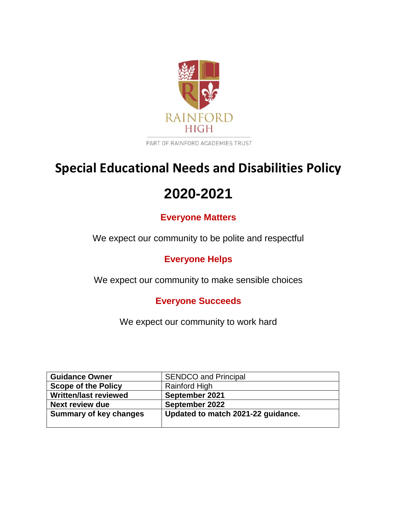

PART OF RAINFORD ACADEMIES TRUST

# **Special Educational Needs and Disabilities Policy**

# **2020-2021**

# **Everyone Matters**

We expect our community to be polite and respectful

# **Everyone Helps**

We expect our community to make sensible choices

# **Everyone Succeeds**

We expect our community to work hard

| <b>Guidance Owner</b>         | <b>SENDCO and Principal</b>        |
|-------------------------------|------------------------------------|
| <b>Scope of the Policy</b>    | Rainford High                      |
| <b>Written/last reviewed</b>  | September 2021                     |
| Next review due               | September 2022                     |
| <b>Summary of key changes</b> | Updated to match 2021-22 guidance. |
|                               |                                    |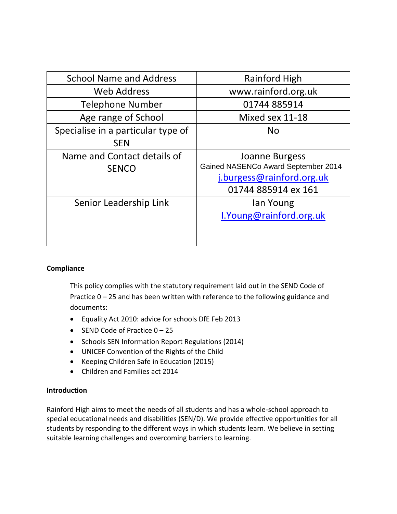| <b>School Name and Address</b>                   | Rainford High                                                                                             |
|--------------------------------------------------|-----------------------------------------------------------------------------------------------------------|
| <b>Web Address</b>                               | www.rainford.org.uk                                                                                       |
| <b>Telephone Number</b>                          | 01744885914                                                                                               |
| Age range of School                              | Mixed sex 11-18                                                                                           |
| Specialise in a particular type of<br><b>SEN</b> | <b>No</b>                                                                                                 |
| Name and Contact details of<br><b>SENCO</b>      | Joanne Burgess<br>Gained NASENCo Award September 2014<br>j.burgess@rainford.org.uk<br>01744 885914 ex 161 |
| Senior Leadership Link                           | lan Young<br>I. Young@rainford.org.uk                                                                     |

# **Compliance**

This policy complies with the statutory requirement laid out in the SEND Code of Practice 0 – 25 and has been written with reference to the following guidance and documents:

- Equality Act 2010: advice for schools DfE Feb 2013
- $\bullet$  SEND Code of Practice  $0 25$
- Schools SEN Information Report Regulations (2014)
- UNICEF Convention of the Rights of the Child
- Keeping Children Safe in Education (2015)
- Children and Families act 2014

# **Introduction**

Rainford High aims to meet the needs of all students and has a whole-school approach to special educational needs and disabilities (SEN/D). We provide effective opportunities for all students by responding to the different ways in which students learn. We believe in setting suitable learning challenges and overcoming barriers to learning.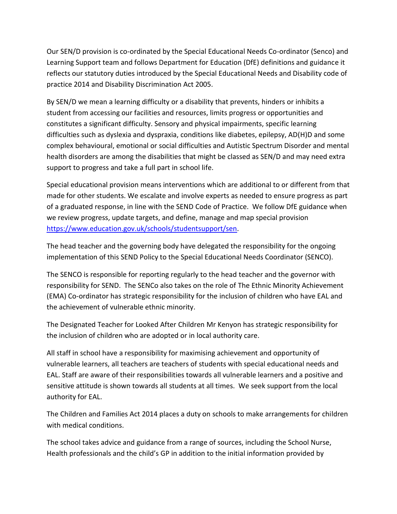Our SEN/D provision is co-ordinated by the Special Educational Needs Co-ordinator (Senco) and Learning Support team and follows Department for Education (DfE) definitions and guidance it reflects our statutory duties introduced by the Special Educational Needs and Disability code of practice 2014 and Disability Discrimination Act 2005.

By SEN/D we mean a learning difficulty or a disability that prevents, hinders or inhibits a student from accessing our facilities and resources, limits progress or opportunities and constitutes a significant difficulty. Sensory and physical impairments, specific learning difficulties such as dyslexia and dyspraxia, conditions like diabetes, epilepsy, AD(H)D and some complex behavioural, emotional or social difficulties and Autistic Spectrum Disorder and mental health disorders are among the disabilities that might be classed as SEN/D and may need extra support to progress and take a full part in school life.

Special educational provision means interventions which are additional to or different from that made for other students. We escalate and involve experts as needed to ensure progress as part of a graduated response, in line with the SEND Code of Practice. We follow DfE guidance when we review progress, update targets, and define, manage and map special provision [https://www.education.gov.uk/schools/studentsupport/sen.](https://www.education.gov.uk/schools/pupilsupport/sen)

The head teacher and the governing body have delegated the responsibility for the ongoing implementation of this SEND Policy to the Special Educational Needs Coordinator (SENCO).

The SENCO is responsible for reporting regularly to the head teacher and the governor with responsibility for SEND. The SENCo also takes on the role of The Ethnic Minority Achievement (EMA) Co-ordinator has strategic responsibility for the inclusion of children who have EAL and the achievement of vulnerable ethnic minority.

The Designated Teacher for Looked After Children Mr Kenyon has strategic responsibility for the inclusion of children who are adopted or in local authority care.

All staff in school have a responsibility for maximising achievement and opportunity of vulnerable learners, all teachers are teachers of students with special educational needs and EAL. Staff are aware of their responsibilities towards all vulnerable learners and a positive and sensitive attitude is shown towards all students at all times. We seek support from the local authority for EAL.

The Children and Families Act 2014 places a duty on schools to make arrangements for children with medical conditions.

The school takes advice and guidance from a range of sources, including the School Nurse, Health professionals and the child's GP in addition to the initial information provided by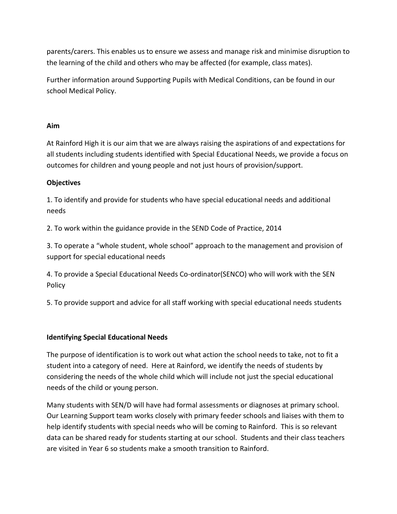parents/carers. This enables us to ensure we assess and manage risk and minimise disruption to the learning of the child and others who may be affected (for example, class mates).

Further information around Supporting Pupils with Medical Conditions, can be found in our school Medical Policy.

# **Aim**

At Rainford High it is our aim that we are always raising the aspirations of and expectations for all students including students identified with Special Educational Needs, we provide a focus on outcomes for children and young people and not just hours of provision/support.

# **Objectives**

1. To identify and provide for students who have special educational needs and additional needs

2. To work within the guidance provide in the SEND Code of Practice, 2014

3. To operate a "whole student, whole school" approach to the management and provision of support for special educational needs

4. To provide a Special Educational Needs Co-ordinator(SENCO) who will work with the SEN Policy

5. To provide support and advice for all staff working with special educational needs students

# **Identifying Special Educational Needs**

The purpose of identification is to work out what action the school needs to take, not to fit a student into a category of need. Here at Rainford, we identify the needs of students by considering the needs of the whole child which will include not just the special educational needs of the child or young person.

Many students with SEN/D will have had formal assessments or diagnoses at primary school. Our Learning Support team works closely with primary feeder schools and liaises with them to help identify students with special needs who will be coming to Rainford. This is so relevant data can be shared ready for students starting at our school. Students and their class teachers are visited in Year 6 so students make a smooth transition to Rainford.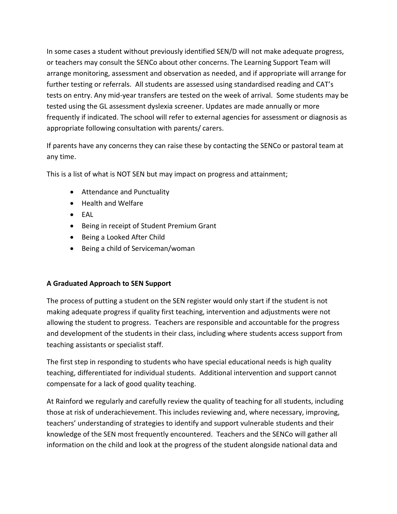In some cases a student without previously identified SEN/D will not make adequate progress, or teachers may consult the SENCo about other concerns. The Learning Support Team will arrange monitoring, assessment and observation as needed, and if appropriate will arrange for further testing or referrals. All students are assessed using standardised reading and CAT's tests on entry. Any mid-year transfers are tested on the week of arrival. Some students may be tested using the GL assessment dyslexia screener. Updates are made annually or more frequently if indicated. The school will refer to external agencies for assessment or diagnosis as appropriate following consultation with parents/ carers.

If parents have any concerns they can raise these by contacting the SENCo or pastoral team at any time.

This is a list of what is NOT SEN but may impact on progress and attainment;

- Attendance and Punctuality
- Health and Welfare
- EAL
- Being in receipt of Student Premium Grant
- Being a Looked After Child
- Being a child of Serviceman/woman

# **A Graduated Approach to SEN Support**

The process of putting a student on the SEN register would only start if the student is not making adequate progress if quality first teaching, intervention and adjustments were not allowing the student to progress. Teachers are responsible and accountable for the progress and development of the students in their class, including where students access support from teaching assistants or specialist staff.

The first step in responding to students who have special educational needs is high quality teaching, differentiated for individual students. Additional intervention and support cannot compensate for a lack of good quality teaching.

At Rainford we regularly and carefully review the quality of teaching for all students, including those at risk of underachievement. This includes reviewing and, where necessary, improving, teachers' understanding of strategies to identify and support vulnerable students and their knowledge of the SEN most frequently encountered. Teachers and the SENCo will gather all information on the child and look at the progress of the student alongside national data and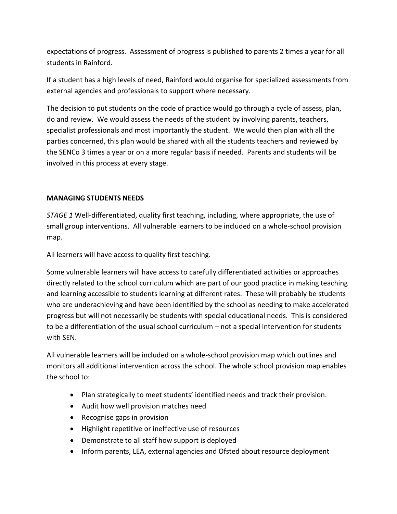expectations of progress. Assessment of progress is published to parents 2 times a year for all students in Rainford.

If a student has a high levels of need, Rainford would organise for specialized assessments from external agencies and professionals to support where necessary.

The decision to put students on the code of practice would go through a cycle of assess, plan, do and review. We would assess the needs of the student by involving parents, teachers, specialist professionals and most importantly the student. We would then plan with all the parties concerned, this plan would be shared with all the students teachers and reviewed by the SENCo 3 times a year or on a more regular basis if needed. Parents and students will be involved in this process at every stage.

# **MANAGING STUDENTS NEEDS**

*STAGE 1* Well-differentiated, quality first teaching, including, where appropriate, the use of small group interventions. All vulnerable learners to be included on a whole-school provision map.

All learners will have access to quality first teaching.

Some vulnerable learners will have access to carefully differentiated activities or approaches directly related to the school curriculum which are part of our good practice in making teaching and learning accessible to students learning at different rates. These will probably be students who are underachieving and have been identified by the school as needing to make accelerated progress but will not necessarily be students with special educational needs. This is considered to be a differentiation of the usual school curriculum – not a special intervention for students with SEN.

All vulnerable learners will be included on a whole-school provision map which outlines and monitors all additional intervention across the school. The whole school provision map enables the school to:

- Plan strategically to meet students' identified needs and track their provision.
- Audit how well provision matches need
- Recognise gaps in provision
- Highlight repetitive or ineffective use of resources
- Demonstrate to all staff how support is deployed
- Inform parents, LEA, external agencies and Ofsted about resource deployment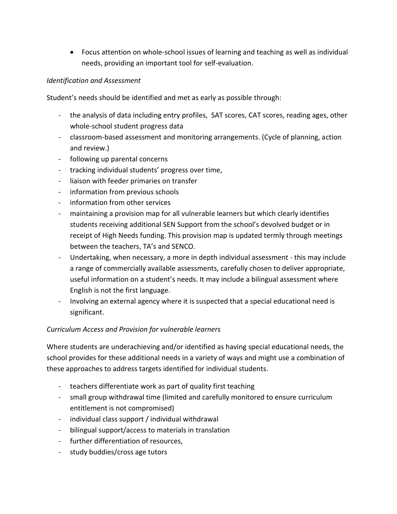Focus attention on whole-school issues of learning and teaching as well as individual needs, providing an important tool for self-evaluation.

# *Identification and Assessment*

Student's needs should be identified and met as early as possible through:

- the analysis of data including entry profiles, SAT scores, CAT scores, reading ages, other whole-school student progress data
- classroom-based assessment and monitoring arrangements. (Cycle of planning, action and review.)
- following up parental concerns
- tracking individual students' progress over time,
- liaison with feeder primaries on transfer
- information from previous schools
- information from other services
- maintaining a provision map for all vulnerable learners but which clearly identifies students receiving additional SEN Support from the school's devolved budget or in receipt of High Needs funding. This provision map is updated termly through meetings between the teachers, TA's and SENCO.
- Undertaking, when necessary, a more in depth individual assessment this may include a range of commercially available assessments, carefully chosen to deliver appropriate, useful information on a student's needs. It may include a bilingual assessment where English is not the first language.
- Involving an external agency where it is suspected that a special educational need is significant.

# *Curriculum Access and Provision for vulnerable learners*

Where students are underachieving and/or identified as having special educational needs, the school provides for these additional needs in a variety of ways and might use a combination of these approaches to address targets identified for individual students.

- teachers differentiate work as part of quality first teaching
- small group withdrawal time (limited and carefully monitored to ensure curriculum entitlement is not compromised)
- individual class support / individual withdrawal
- bilingual support/access to materials in translation
- further differentiation of resources,
- study buddies/cross age tutors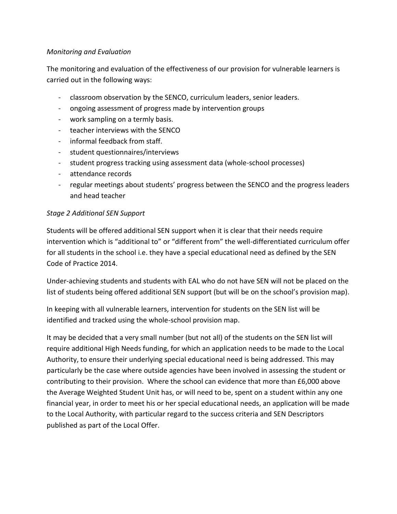# *Monitoring and Evaluation*

The monitoring and evaluation of the effectiveness of our provision for vulnerable learners is carried out in the following ways:

- classroom observation by the SENCO, curriculum leaders, senior leaders.
- ongoing assessment of progress made by intervention groups
- work sampling on a termly basis.
- teacher interviews with the SENCO
- informal feedback from staff.
- student questionnaires/interviews
- student progress tracking using assessment data (whole-school processes)
- attendance records
- regular meetings about students' progress between the SENCO and the progress leaders and head teacher

# *Stage 2 Additional SEN Support*

Students will be offered additional SEN support when it is clear that their needs require intervention which is "additional to" or "different from" the well-differentiated curriculum offer for all students in the school i.e. they have a special educational need as defined by the SEN Code of Practice 2014.

Under-achieving students and students with EAL who do not have SEN will not be placed on the list of students being offered additional SEN support (but will be on the school's provision map).

In keeping with all vulnerable learners, intervention for students on the SEN list will be identified and tracked using the whole-school provision map.

It may be decided that a very small number (but not all) of the students on the SEN list will require additional High Needs funding, for which an application needs to be made to the Local Authority, to ensure their underlying special educational need is being addressed. This may particularly be the case where outside agencies have been involved in assessing the student or contributing to their provision. Where the school can evidence that more than £6,000 above the Average Weighted Student Unit has, or will need to be, spent on a student within any one financial year, in order to meet his or her special educational needs, an application will be made to the Local Authority, with particular regard to the success criteria and SEN Descriptors published as part of the Local Offer.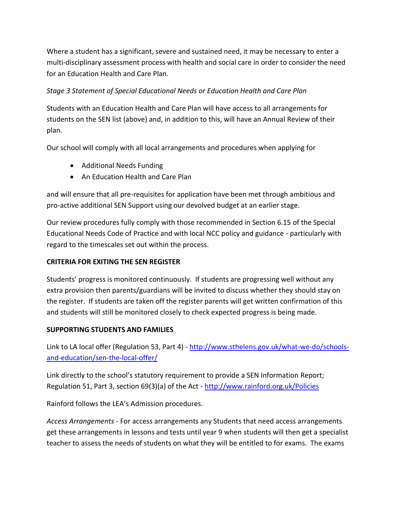Where a student has a significant, severe and sustained need, it may be necessary to enter a multi-disciplinary assessment process with health and social care in order to consider the need for an Education Health and Care Plan.

# *Stage 3 Statement of Special Educational Needs or Education Health and Care Plan*

Students with an Education Health and Care Plan will have access to all arrangements for students on the SEN list (above) and, in addition to this, will have an Annual Review of their plan.

Our school will comply with all local arrangements and procedures when applying for

- Additional Needs Funding
- An Education Health and Care Plan

and will ensure that all pre-requisites for application have been met through ambitious and pro-active additional SEN Support using our devolved budget at an earlier stage.

Our review procedures fully comply with those recommended in Section 6.15 of the Special Educational Needs Code of Practice and with local NCC policy and guidance - particularly with regard to the timescales set out within the process.

# **CRITERIA FOR EXITING THE SEN REGISTER**

Students' progress is monitored continuously. If students are progressing well without any extra provision then parents/guardians will be invited to discuss whether they should stay on the register. If students are taken off the register parents will get written confirmation of this and students will still be monitored closely to check expected progress is being made.

# **SUPPORTING STUDENTS AND FAMILIES**

Link to LA local offer (Regulation 53, Part 4) - [http://www.sthelens.gov.uk/what-we-do/schools](http://www.sthelens.gov.uk/what-we-do/schools-and-education/sen-the-local-offer/)[and-education/sen-the-local-offer/](http://www.sthelens.gov.uk/what-we-do/schools-and-education/sen-the-local-offer/)

Link directly to the school's statutory requirement to provide a SEN Information Report; Regulation 51, Part 3, section 69(3)(a) of the Act - <http://www.rainford.org.uk/Policies>

Rainford follows the LEA's Admission procedures.

*Access Arrangements* - For access arrangements any Students that need access arrangements get these arrangements in lessons and tests until year 9 when students will then get a specialist teacher to assess the needs of students on what they will be entitled to for exams. The exams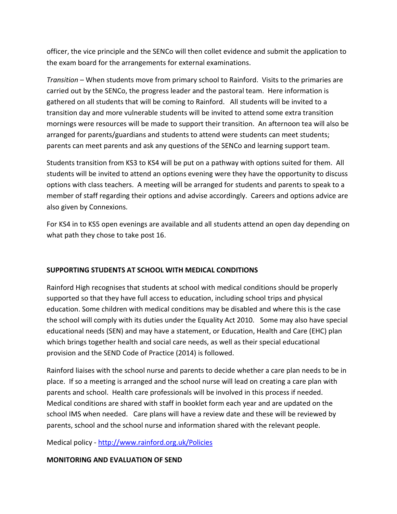officer, the vice principle and the SENCo will then collet evidence and submit the application to the exam board for the arrangements for external examinations.

*Transition* – When students move from primary school to Rainford. Visits to the primaries are carried out by the SENCo, the progress leader and the pastoral team. Here information is gathered on all students that will be coming to Rainford. All students will be invited to a transition day and more vulnerable students will be invited to attend some extra transition mornings were resources will be made to support their transition. An afternoon tea will also be arranged for parents/guardians and students to attend were students can meet students; parents can meet parents and ask any questions of the SENCo and learning support team.

Students transition from KS3 to KS4 will be put on a pathway with options suited for them. All students will be invited to attend an options evening were they have the opportunity to discuss options with class teachers. A meeting will be arranged for students and parents to speak to a member of staff regarding their options and advise accordingly. Careers and options advice are also given by Connexions.

For KS4 in to KS5 open evenings are available and all students attend an open day depending on what path they chose to take post 16.

# **SUPPORTING STUDENTS AT SCHOOL WITH MEDICAL CONDITIONS**

Rainford High recognises that students at school with medical conditions should be properly supported so that they have full access to education, including school trips and physical education. Some children with medical conditions may be disabled and where this is the case the school will comply with its duties under the Equality Act 2010. Some may also have special educational needs (SEN) and may have a statement, or Education, Health and Care (EHC) plan which brings together health and social care needs, as well as their special educational provision and the SEND Code of Practice (2014) is followed.

Rainford liaises with the school nurse and parents to decide whether a care plan needs to be in place. If so a meeting is arranged and the school nurse will lead on creating a care plan with parents and school. Health care professionals will be involved in this process if needed. Medical conditions are shared with staff in booklet form each year and are updated on the school IMS when needed. Care plans will have a review date and these will be reviewed by parents, school and the school nurse and information shared with the relevant people.

Medical policy - <http://www.rainford.org.uk/Policies>

# **MONITORING AND EVALUATION OF SEND**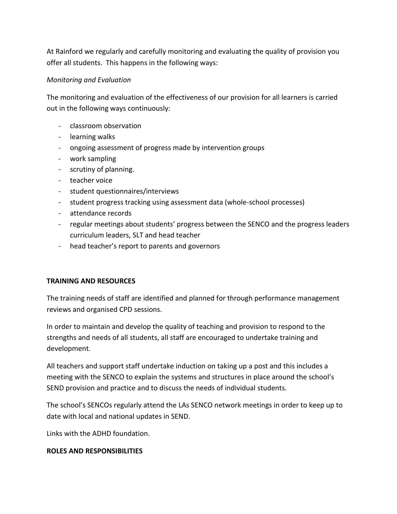At Rainford we regularly and carefully monitoring and evaluating the quality of provision you offer all students. This happens in the following ways:

# *Monitoring and Evaluation*

The monitoring and evaluation of the effectiveness of our provision for all learners is carried out in the following ways continuously:

- classroom observation
- learning walks
- ongoing assessment of progress made by intervention groups
- work sampling
- scrutiny of planning.
- teacher voice
- student questionnaires/interviews
- student progress tracking using assessment data (whole-school processes)
- attendance records
- regular meetings about students' progress between the SENCO and the progress leaders curriculum leaders, SLT and head teacher
- head teacher's report to parents and governors

# **TRAINING AND RESOURCES**

The training needs of staff are identified and planned for through performance management reviews and organised CPD sessions.

In order to maintain and develop the quality of teaching and provision to respond to the strengths and needs of all students, all staff are encouraged to undertake training and development.

All teachers and support staff undertake induction on taking up a post and this includes a meeting with the SENCO to explain the systems and structures in place around the school's SEND provision and practice and to discuss the needs of individual students.

The school's SENCOs regularly attend the LAs SENCO network meetings in order to keep up to date with local and national updates in SEND.

Links with the ADHD foundation.

# **ROLES AND RESPONSIBILITIES**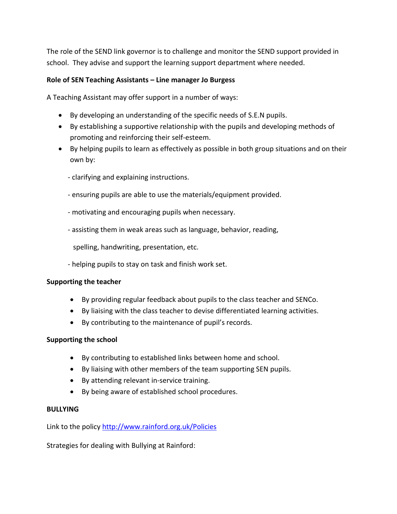The role of the SEND link governor is to challenge and monitor the SEND support provided in school. They advise and support the learning support department where needed.

# **Role of SEN Teaching Assistants – Line manager Jo Burgess**

A Teaching Assistant may offer support in a number of ways:

- By developing an understanding of the specific needs of S.E.N pupils.
- By establishing a supportive relationship with the pupils and developing methods of promoting and reinforcing their self-esteem.
- By helping pupils to learn as effectively as possible in both group situations and on their own by:
	- clarifying and explaining instructions.
	- ensuring pupils are able to use the materials/equipment provided.
	- motivating and encouraging pupils when necessary.
	- assisting them in weak areas such as language, behavior, reading,

spelling, handwriting, presentation, etc.

- helping pupils to stay on task and finish work set.

# **Supporting the teacher**

- By providing regular feedback about pupils to the class teacher and SENCo.
- By liaising with the class teacher to devise differentiated learning activities.
- By contributing to the maintenance of pupil's records.

# **Supporting the school**

- By contributing to established links between home and school.
- By liaising with other members of the team supporting SEN pupils.
- By attending relevant in-service training.
- By being aware of established school procedures.

#### **BULLYING**

Link to the polic[y http://www.rainford.org.uk/Policies](http://www.rainford.org.uk/Policies)

Strategies for dealing with Bullying at Rainford: